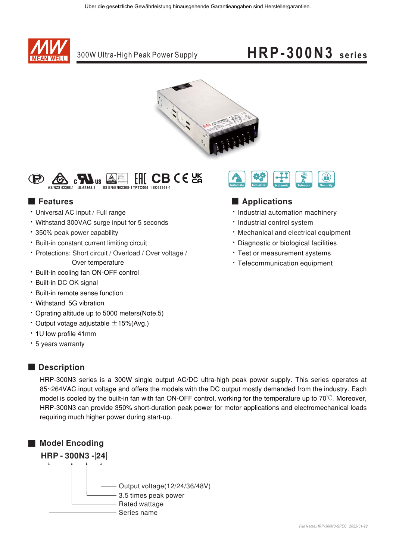

300W Ultra-High Peak Power Supply

## $HRP-300N3$  series



 $HICBCE$ ПŠ

### **E** Features

- Universal AC input / Full range
- Withstand 300VAC surge input for 5 seconds
- · 350% peak power capability
- · Built-in constant current limiting circuit
- Protections: Short circuit / Overload / Over voltage / Over temperature
- Built-in cooling fan ON-OFF control
- · Built-in DC OK signal
- · Built-in remote sense function
- Withstand 5G vibration
- Oprating altitude up to 5000 meters (Note.5)
- Output votage adjustable  $\pm$ 15% (Avg.)
- 1U low profile 41mm
- 5 years warranty



### Applications

- · Industrial automation machinery
- · Industrial control system
- . Mechanical and electrical equipment
- \* Diagnostic or biological facilities
- \* Test or measurement systems
- Telecommunication equipment

### Description

HRP-300N3 series is a 300W single output AC/DC ultra-high peak power supply. This series operates at 85~264VAC input voltage and offers the models with the DC output mostly demanded from the industry. Each model is cooled by the built-in fan with fan ON-OFF control, working for the temperature up to 70°C. Moreover, HRP-300N3 can provide 350% short-duration peak power for motor applications and electromechanical loads requiring much higher power during start-up.

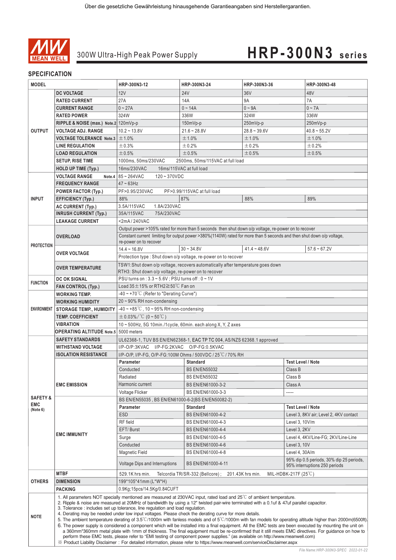

### **SPECIFICATION**

| <b>MODEL</b>        |                                                                                                                           | HRP-300N3-12                                                                                                                                                                                                                                                                                                                                                                                                                                                                                                                                                                                                                                                                                                                                                                                                                                                                                                                                                                                                                                                                                                                            | HRP-300N3-24                                        | HRP-300N3-36   |                          | HRP-300N3-48                             |  |
|---------------------|---------------------------------------------------------------------------------------------------------------------------|-----------------------------------------------------------------------------------------------------------------------------------------------------------------------------------------------------------------------------------------------------------------------------------------------------------------------------------------------------------------------------------------------------------------------------------------------------------------------------------------------------------------------------------------------------------------------------------------------------------------------------------------------------------------------------------------------------------------------------------------------------------------------------------------------------------------------------------------------------------------------------------------------------------------------------------------------------------------------------------------------------------------------------------------------------------------------------------------------------------------------------------------|-----------------------------------------------------|----------------|--------------------------|------------------------------------------|--|
|                     | <b>DC VOLTAGE</b>                                                                                                         | 12V                                                                                                                                                                                                                                                                                                                                                                                                                                                                                                                                                                                                                                                                                                                                                                                                                                                                                                                                                                                                                                                                                                                                     | <b>24V</b>                                          | 36V            |                          | 48V                                      |  |
|                     | <b>RATED CURRENT</b>                                                                                                      | 27A                                                                                                                                                                                                                                                                                                                                                                                                                                                                                                                                                                                                                                                                                                                                                                                                                                                                                                                                                                                                                                                                                                                                     | 14A                                                 | 9A             |                          | 7A                                       |  |
|                     | <b>CURRENT RANGE</b>                                                                                                      | $0 - 27A$                                                                                                                                                                                                                                                                                                                                                                                                                                                                                                                                                                                                                                                                                                                                                                                                                                                                                                                                                                                                                                                                                                                               | $0 - 14A$                                           | $0 - 9A$       |                          | $0 \sim 7A$                              |  |
|                     | <b>RATED POWER</b>                                                                                                        | 324W                                                                                                                                                                                                                                                                                                                                                                                                                                                                                                                                                                                                                                                                                                                                                                                                                                                                                                                                                                                                                                                                                                                                    | 336W                                                | 324W           |                          | 336W                                     |  |
|                     | RIPPLE & NOISE (max.) Note.2 120mVp-p                                                                                     |                                                                                                                                                                                                                                                                                                                                                                                                                                                                                                                                                                                                                                                                                                                                                                                                                                                                                                                                                                                                                                                                                                                                         | $150mVp-p$                                          | 250mVp-p       |                          | 250mVp-p                                 |  |
| <b>OUTPUT</b>       | <b>VOLTAGE ADJ. RANGE</b>                                                                                                 | $10.2 - 13.8V$                                                                                                                                                                                                                                                                                                                                                                                                                                                                                                                                                                                                                                                                                                                                                                                                                                                                                                                                                                                                                                                                                                                          | $21.6 - 28.8V$                                      | $28.8 - 39.6V$ |                          | $40.8 - 55.2V$                           |  |
|                     | <b>VOLTAGE TOLERANCE Note.3</b>                                                                                           | ±1.0%                                                                                                                                                                                                                                                                                                                                                                                                                                                                                                                                                                                                                                                                                                                                                                                                                                                                                                                                                                                                                                                                                                                                   | ±1.0%                                               | ±1.0%          |                          | ±1.0%                                    |  |
|                     | <b>LINE REGULATION</b>                                                                                                    | ±0.3%                                                                                                                                                                                                                                                                                                                                                                                                                                                                                                                                                                                                                                                                                                                                                                                                                                                                                                                                                                                                                                                                                                                                   | ±0.2%                                               | ±0.2%          |                          | ±0.2%                                    |  |
|                     | <b>LOAD REGULATION</b>                                                                                                    | ±0.5%                                                                                                                                                                                                                                                                                                                                                                                                                                                                                                                                                                                                                                                                                                                                                                                                                                                                                                                                                                                                                                                                                                                                   | ± 0.5%                                              | ± 0.5%         |                          | ±0.5%                                    |  |
|                     | <b>SETUP, RISE TIME</b>                                                                                                   | 1000ms, 50ms/230VAC<br>2500ms, 50ms/115VAC at full load                                                                                                                                                                                                                                                                                                                                                                                                                                                                                                                                                                                                                                                                                                                                                                                                                                                                                                                                                                                                                                                                                 |                                                     |                |                          |                                          |  |
|                     | <b>HOLD UP TIME (Typ.)</b>                                                                                                | 16ms/115VAC at full load<br>16ms/230VAC                                                                                                                                                                                                                                                                                                                                                                                                                                                                                                                                                                                                                                                                                                                                                                                                                                                                                                                                                                                                                                                                                                 |                                                     |                |                          |                                          |  |
|                     | <b>VOLTAGE RANGE</b>                                                                                                      | Note.4 $85 - 264$ VAC<br>$120 - 370VDC$                                                                                                                                                                                                                                                                                                                                                                                                                                                                                                                                                                                                                                                                                                                                                                                                                                                                                                                                                                                                                                                                                                 |                                                     |                |                          |                                          |  |
|                     | <b>FREQUENCY RANGE</b>                                                                                                    | $47 - 63$ Hz                                                                                                                                                                                                                                                                                                                                                                                                                                                                                                                                                                                                                                                                                                                                                                                                                                                                                                                                                                                                                                                                                                                            |                                                     |                |                          |                                          |  |
|                     | <b>POWER FACTOR (Typ.)</b>                                                                                                | PF>0.95/230VAC<br>PF>0.99/115VAC at full load                                                                                                                                                                                                                                                                                                                                                                                                                                                                                                                                                                                                                                                                                                                                                                                                                                                                                                                                                                                                                                                                                           |                                                     |                |                          |                                          |  |
| <b>INPUT</b>        | <b>EFFICIENCY (Typ.)</b>                                                                                                  | 88%                                                                                                                                                                                                                                                                                                                                                                                                                                                                                                                                                                                                                                                                                                                                                                                                                                                                                                                                                                                                                                                                                                                                     | 87%                                                 | 88%            |                          | 89%                                      |  |
|                     | <b>AC CURRENT (Typ.)</b>                                                                                                  | 3.5A/115VAC<br>1.8A/230VAC                                                                                                                                                                                                                                                                                                                                                                                                                                                                                                                                                                                                                                                                                                                                                                                                                                                                                                                                                                                                                                                                                                              |                                                     |                |                          |                                          |  |
|                     | <b>INRUSH CURRENT (Typ.)</b>                                                                                              | 35A/115VAC<br>75A/230VAC                                                                                                                                                                                                                                                                                                                                                                                                                                                                                                                                                                                                                                                                                                                                                                                                                                                                                                                                                                                                                                                                                                                |                                                     |                |                          |                                          |  |
|                     | <b>LEAKAGE CURRENT</b>                                                                                                    | <2mA/240VAC                                                                                                                                                                                                                                                                                                                                                                                                                                                                                                                                                                                                                                                                                                                                                                                                                                                                                                                                                                                                                                                                                                                             |                                                     |                |                          |                                          |  |
|                     |                                                                                                                           | Output power >105% rated for more than 5 seconds then shut down o/p voltage, re-power on to recover                                                                                                                                                                                                                                                                                                                                                                                                                                                                                                                                                                                                                                                                                                                                                                                                                                                                                                                                                                                                                                     |                                                     |                |                          |                                          |  |
|                     | <b>OVERLOAD</b>                                                                                                           | Constant current limiting for output power >380%(1140W) rated for more than 5 seconds and then shut down o/p voltage,<br>re-power on to recover                                                                                                                                                                                                                                                                                                                                                                                                                                                                                                                                                                                                                                                                                                                                                                                                                                                                                                                                                                                         |                                                     |                |                          |                                          |  |
| <b>PROTECTION</b>   |                                                                                                                           | $14.4 - 16.8V$                                                                                                                                                                                                                                                                                                                                                                                                                                                                                                                                                                                                                                                                                                                                                                                                                                                                                                                                                                                                                                                                                                                          | $30 - 34.8V$                                        | $41.4 - 48.6V$ |                          | $57.6 - 67.2V$                           |  |
|                     | <b>OVER VOLTAGE</b>                                                                                                       | Protection type: Shut down o/p voltage, re-power on to recover                                                                                                                                                                                                                                                                                                                                                                                                                                                                                                                                                                                                                                                                                                                                                                                                                                                                                                                                                                                                                                                                          |                                                     |                |                          |                                          |  |
|                     | <b>OVER TEMPERATURE</b>                                                                                                   | TSW1:Shut down o/p voltage, recovers automatically after temperature goes down                                                                                                                                                                                                                                                                                                                                                                                                                                                                                                                                                                                                                                                                                                                                                                                                                                                                                                                                                                                                                                                          |                                                     |                |                          |                                          |  |
|                     |                                                                                                                           | RTH3: Shut down o/p voltage, re-power on to recover                                                                                                                                                                                                                                                                                                                                                                                                                                                                                                                                                                                                                                                                                                                                                                                                                                                                                                                                                                                                                                                                                     |                                                     |                |                          |                                          |  |
| <b>FUNCTION</b>     | <b>DC OK SIGNAL</b>                                                                                                       | PSU turns on: 3.3~5.6V; PSU turns off: 0~1V                                                                                                                                                                                                                                                                                                                                                                                                                                                                                                                                                                                                                                                                                                                                                                                                                                                                                                                                                                                                                                                                                             |                                                     |                |                          |                                          |  |
|                     | <b>FAN CONTROL (Typ.)</b>                                                                                                 | Load $35 \pm 15\%$ or RTH2 $\geq 50\degree$ C Fan on                                                                                                                                                                                                                                                                                                                                                                                                                                                                                                                                                                                                                                                                                                                                                                                                                                                                                                                                                                                                                                                                                    |                                                     |                |                          |                                          |  |
|                     | <b>WORKING TEMP.</b>                                                                                                      | $-40 \sim +70^{\circ}$ C (Refer to "Derating Curve")                                                                                                                                                                                                                                                                                                                                                                                                                                                                                                                                                                                                                                                                                                                                                                                                                                                                                                                                                                                                                                                                                    |                                                     |                |                          |                                          |  |
|                     | <b>WORKING HUMIDITY</b>                                                                                                   | 20~90% RH non-condensing                                                                                                                                                                                                                                                                                                                                                                                                                                                                                                                                                                                                                                                                                                                                                                                                                                                                                                                                                                                                                                                                                                                |                                                     |                |                          |                                          |  |
| <b>ENVIRONMENT</b>  | <b>STORAGE TEMP., HUMIDITY</b>                                                                                            | $-40 \sim +85^{\circ}$ C, 10 ~ 95% RH non-condensing                                                                                                                                                                                                                                                                                                                                                                                                                                                                                                                                                                                                                                                                                                                                                                                                                                                                                                                                                                                                                                                                                    |                                                     |                |                          |                                          |  |
|                     | <b>TEMP. COEFFICIENT</b>                                                                                                  | $\pm$ 0.03%/°C (0 ~ 50°C)                                                                                                                                                                                                                                                                                                                                                                                                                                                                                                                                                                                                                                                                                                                                                                                                                                                                                                                                                                                                                                                                                                               |                                                     |                |                          |                                          |  |
|                     | <b>VIBRATION</b>                                                                                                          | $10 \sim 500$ Hz, 5G 10min./1cycle, 60min. each along X, Y, Z axes                                                                                                                                                                                                                                                                                                                                                                                                                                                                                                                                                                                                                                                                                                                                                                                                                                                                                                                                                                                                                                                                      |                                                     |                |                          |                                          |  |
|                     | <b>OPERATING ALTITUDE Note.5 5000 meters</b>                                                                              |                                                                                                                                                                                                                                                                                                                                                                                                                                                                                                                                                                                                                                                                                                                                                                                                                                                                                                                                                                                                                                                                                                                                         |                                                     |                |                          |                                          |  |
|                     | <b>SAFETY STANDARDS</b>                                                                                                   | UL62368-1, TUV BS EN/EN62368-1, EAC TP TC 004, AS/NZS 62368.1 approved                                                                                                                                                                                                                                                                                                                                                                                                                                                                                                                                                                                                                                                                                                                                                                                                                                                                                                                                                                                                                                                                  |                                                     |                |                          |                                          |  |
|                     | <b>WITHSTAND VOLTAGE</b>                                                                                                  | I/P-O/P:3KVAC I/P-FG:2KVAC O/P-FG:0.5KVAC                                                                                                                                                                                                                                                                                                                                                                                                                                                                                                                                                                                                                                                                                                                                                                                                                                                                                                                                                                                                                                                                                               |                                                     |                |                          |                                          |  |
|                     | <b>ISOLATION RESISTANCE</b>                                                                                               | I/P-O/P, I/P-FG, O/P-FG:100M Ohms / 500VDC / 25 °C / 70% RH                                                                                                                                                                                                                                                                                                                                                                                                                                                                                                                                                                                                                                                                                                                                                                                                                                                                                                                                                                                                                                                                             |                                                     |                |                          |                                          |  |
|                     |                                                                                                                           | <b>Parameter</b>                                                                                                                                                                                                                                                                                                                                                                                                                                                                                                                                                                                                                                                                                                                                                                                                                                                                                                                                                                                                                                                                                                                        | <b>Standard</b>                                     |                | <b>Test Level / Note</b> |                                          |  |
|                     |                                                                                                                           | Conducted                                                                                                                                                                                                                                                                                                                                                                                                                                                                                                                                                                                                                                                                                                                                                                                                                                                                                                                                                                                                                                                                                                                               | <b>BS EN/EN55032</b>                                |                | Class B                  |                                          |  |
|                     | <b>EMC EMISSION</b>                                                                                                       | Radiated                                                                                                                                                                                                                                                                                                                                                                                                                                                                                                                                                                                                                                                                                                                                                                                                                                                                                                                                                                                                                                                                                                                                | <b>BS EN/EN55032</b>                                | Class B        |                          |                                          |  |
|                     |                                                                                                                           | Harmonic current                                                                                                                                                                                                                                                                                                                                                                                                                                                                                                                                                                                                                                                                                                                                                                                                                                                                                                                                                                                                                                                                                                                        | BS EN/EN61000-3-2                                   | Class A        |                          |                                          |  |
| <b>SAFETY &amp;</b> |                                                                                                                           | Voltage Flicker                                                                                                                                                                                                                                                                                                                                                                                                                                                                                                                                                                                                                                                                                                                                                                                                                                                                                                                                                                                                                                                                                                                         | BS EN/EN61000-3-3                                   |                | -----                    |                                          |  |
| <b>EMC</b>          | <b>EMC IMMUNITY</b>                                                                                                       | BS EN/EN55035, BS EN/EN61000-6-2(BS EN/EN50082-2)                                                                                                                                                                                                                                                                                                                                                                                                                                                                                                                                                                                                                                                                                                                                                                                                                                                                                                                                                                                                                                                                                       |                                                     |                |                          |                                          |  |
| (Note 6)            |                                                                                                                           | <b>Parameter</b>                                                                                                                                                                                                                                                                                                                                                                                                                                                                                                                                                                                                                                                                                                                                                                                                                                                                                                                                                                                                                                                                                                                        | <b>Standard</b>                                     |                | <b>Test Level / Note</b> |                                          |  |
|                     |                                                                                                                           | <b>ESD</b>                                                                                                                                                                                                                                                                                                                                                                                                                                                                                                                                                                                                                                                                                                                                                                                                                                                                                                                                                                                                                                                                                                                              | BS EN/EN61000-4-2                                   |                |                          | Level 3, 8KV air; Level 2, 4KV contact   |  |
|                     |                                                                                                                           | RF field                                                                                                                                                                                                                                                                                                                                                                                                                                                                                                                                                                                                                                                                                                                                                                                                                                                                                                                                                                                                                                                                                                                                | BS EN/EN61000-4-3                                   |                | Level 3, 10V/m           |                                          |  |
|                     |                                                                                                                           | EFT/Burst                                                                                                                                                                                                                                                                                                                                                                                                                                                                                                                                                                                                                                                                                                                                                                                                                                                                                                                                                                                                                                                                                                                               | BS EN/EN61000-4-4                                   |                | Level 3, 2KV             |                                          |  |
|                     |                                                                                                                           | Surge                                                                                                                                                                                                                                                                                                                                                                                                                                                                                                                                                                                                                                                                                                                                                                                                                                                                                                                                                                                                                                                                                                                                   | BS EN/EN61000-4-5                                   |                |                          | Level 4, 4KV/Line-FG; 2KV/Line-Line      |  |
|                     |                                                                                                                           | Conducted                                                                                                                                                                                                                                                                                                                                                                                                                                                                                                                                                                                                                                                                                                                                                                                                                                                                                                                                                                                                                                                                                                                               | BS EN/EN61000-4-6<br>BS EN/EN61000-4-8              |                | Level 3, 10V             |                                          |  |
|                     |                                                                                                                           | Magnetic Field                                                                                                                                                                                                                                                                                                                                                                                                                                                                                                                                                                                                                                                                                                                                                                                                                                                                                                                                                                                                                                                                                                                          |                                                     |                | Level 4, 30A/m           | 95% dip 0.5 periods, 30% dip 25 periods, |  |
|                     |                                                                                                                           | <b>Voltage Dips and Interruptions</b>                                                                                                                                                                                                                                                                                                                                                                                                                                                                                                                                                                                                                                                                                                                                                                                                                                                                                                                                                                                                                                                                                                   | BS EN/EN61000-4-11<br>95% interruptions 250 periods |                |                          |                                          |  |
|                     | <b>MTBF</b>                                                                                                               | MIL-HDBK-217F $(25^{\circ}C)$<br>529.1K hrs min.<br>Telcordia TR/SR-332 (Bellcore);<br>201.43K hrs min.                                                                                                                                                                                                                                                                                                                                                                                                                                                                                                                                                                                                                                                                                                                                                                                                                                                                                                                                                                                                                                 |                                                     |                |                          |                                          |  |
| <b>OTHERS</b>       | <b>DIMENSION</b>                                                                                                          | 199*105*41mm (L*W*H)                                                                                                                                                                                                                                                                                                                                                                                                                                                                                                                                                                                                                                                                                                                                                                                                                                                                                                                                                                                                                                                                                                                    |                                                     |                |                          |                                          |  |
| <b>NOTE</b>         | <b>PACKING</b>                                                                                                            | 0.9Kg;15pcs/14.5Kg/0.84CUFT<br>1. All parameters NOT specially mentioned are measured at 230VAC input, rated load and $25^{\circ}$ of ambient temperature.<br>2. Ripple & noise are measured at 20MHz of bandwidth by using a 12" twisted pair-wire terminated with a 0.1uf & 47uf parallel capacitor.<br>3. Tolerance: includes set up tolerance, line regulation and load regulation.<br>4. Derating may be needed under low input voltages. Please check the derating curve for more details.<br>5. The ambient temperature derating of $3.5^{\circ}$ C/1000m with fanless models and of $5^{\circ}$ C/1000m with fan models for operating altitude higher than 2000m(6500ft).<br>6. The power supply is considered a component which will be installed into a final equipment. All the EMC tests are been executed by mounting the unit on<br>a 360mm*360mm metal plate with 1mm of thickness. The final equipment must be re-confirmed that it still meets EMC directives. For guidance on how to<br>perform these EMC tests, please refer to "EMI testing of component power supplies." (as available on http://www.meanwell.com) |                                                     |                |                          |                                          |  |
|                     | X Product Liability Disclaimer: For detailed information, please refer to https://www.meanwell.com/serviceDisclaimer.aspx |                                                                                                                                                                                                                                                                                                                                                                                                                                                                                                                                                                                                                                                                                                                                                                                                                                                                                                                                                                                                                                                                                                                                         |                                                     |                |                          |                                          |  |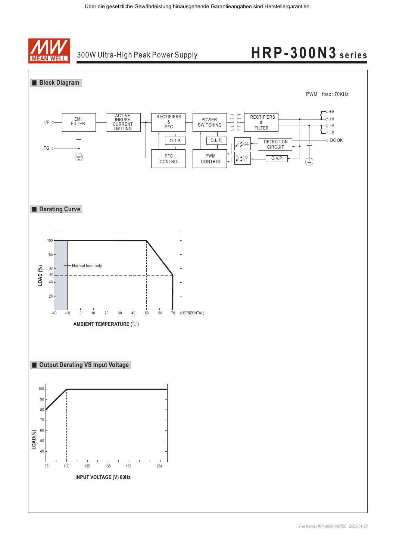

## 300W Ultra-High Peak Power Supply

# **HRP-300N3 series**

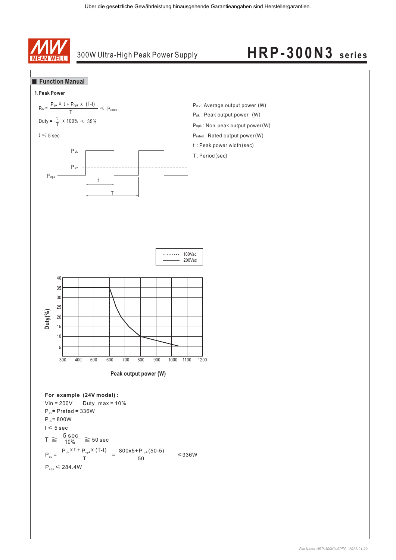

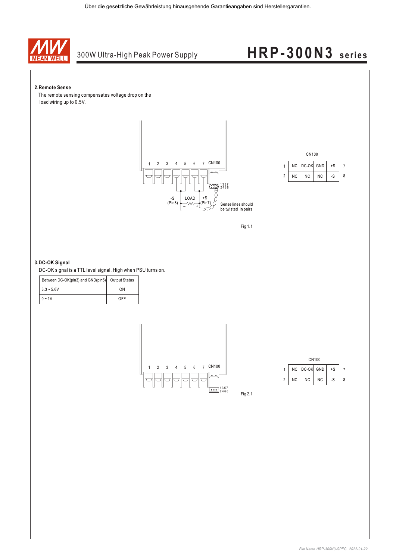

#### **2.Remote Sense**

The remote sensing compensates voltage drop on the load wiring up to 0.5V.







#### **3.DC-OK Signal**

DC-OK signal is a TTL level signal. High when PSU turns on.

| Between DC-OK(pin3) and GND(pin5) Output Status |     |  |  |
|-------------------------------------------------|-----|--|--|
| $3.3 - 5.6V$                                    | ΩN  |  |  |
| $0 - 1V$                                        | ∩FF |  |  |





Fig 2.1